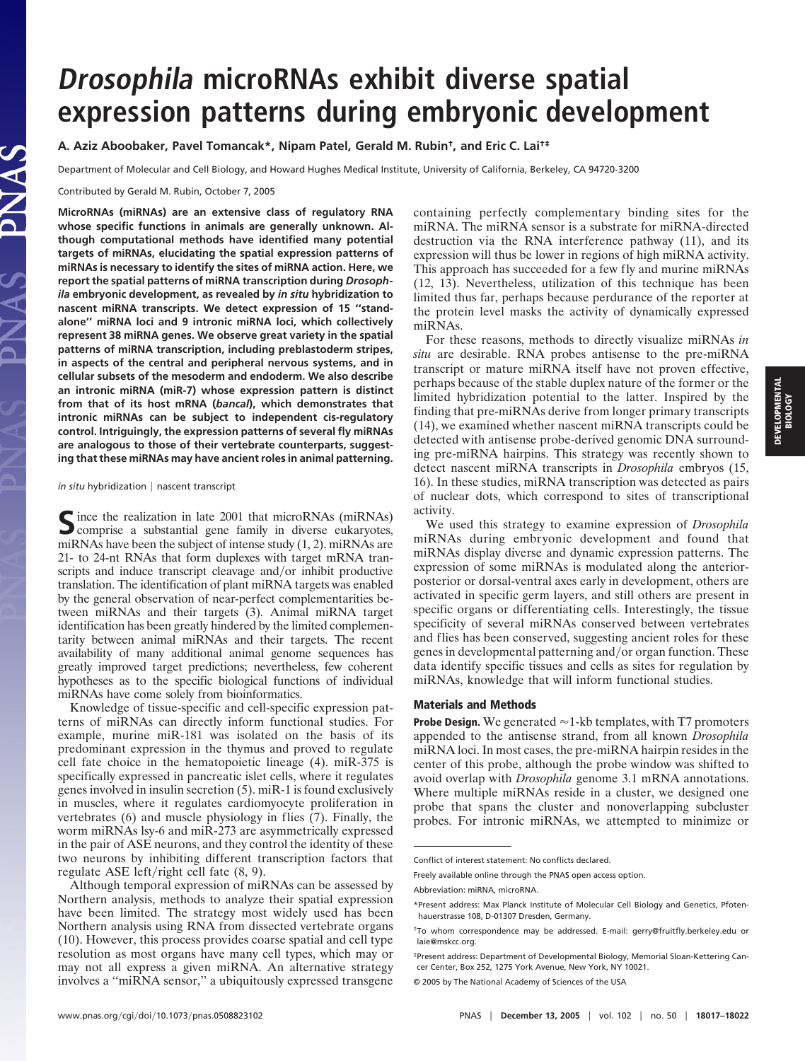# **Drosophila microRNAs exhibit diverse spatial expression patterns during embryonic development**

# **A. Aziz Aboobaker, Pavel Tomancak\*, Nipam Patel, Gerald M. Rubin†, and Eric C. Lai†‡**

Department of Molecular and Cell Biology, and Howard Hughes Medical Institute, University of California, Berkeley, CA 94720-3200

Contributed by Gerald M. Rubin, October 7, 2005

PNAS

**MicroRNAs (miRNAs) are an extensive class of regulatory RNA whose specific functions in animals are generally unknown. Although computational methods have identified many potential targets of miRNAs, elucidating the spatial expression patterns of miRNAs is necessary to identify the sites of miRNA action. Here, we report the spatial patterns of miRNA transcription during** *Drosophila* **embryonic development, as revealed by** *in situ* **hybridization to nascent miRNA transcripts. We detect expression of 15 ''standalone'' miRNA loci and 9 intronic miRNA loci, which collectively represent 38 miRNA genes. We observe great variety in the spatial patterns of miRNA transcription, including preblastoderm stripes, in aspects of the central and peripheral nervous systems, and in cellular subsets of the mesoderm and endoderm. We also describe an intronic miRNA (miR-7) whose expression pattern is distinct from that of its host mRNA (***bancal***), which demonstrates that intronic miRNAs can be subject to independent cis-regulatory control. Intriguingly, the expression patterns of several fly miRNAs are analogous to those of their vertebrate counterparts, suggesting that these miRNAs may have ancient roles in animal patterning.**

#### *in situ* hybridization | nascent transcript

Since the realization in late 2001 that microRNAs (miRNAs)<br>comprise a substantial gene family in diverse eukaryotes, miRNAs have been the subject of intense study (1, 2). miRNAs are 21- to 24-nt RNAs that form duplexes with target mRNA transcripts and induce transcript cleavage and/or inhibit productive translation. The identification of plant miRNA targets was enabled by the general observation of near-perfect complementarities between miRNAs and their targets (3). Animal miRNA target identification has been greatly hindered by the limited complementarity between animal miRNAs and their targets. The recent availability of many additional animal genome sequences has greatly improved target predictions; nevertheless, few coherent hypotheses as to the specific biological functions of individual miRNAs have come solely from bioinformatics.

Knowledge of tissue-specific and cell-specific expression patterns of miRNAs can directly inform functional studies. For example, murine miR-181 was isolated on the basis of its predominant expression in the thymus and proved to regulate cell fate choice in the hematopoietic lineage (4). miR-375 is specifically expressed in pancreatic islet cells, where it regulates genes involved in insulin secretion (5). miR-1 is found exclusively in muscles, where it regulates cardiomyocyte proliferation in vertebrates (6) and muscle physiology in flies (7). Finally, the worm miRNAs lsy-6 and miR-273 are asymmetrically expressed in the pair of ASE neurons, and they control the identity of these two neurons by inhibiting different transcription factors that regulate ASE left/right cell fate  $(8, 9)$ .

Although temporal expression of miRNAs can be assessed by Northern analysis, methods to analyze their spatial expression have been limited. The strategy most widely used has been Northern analysis using RNA from dissected vertebrate organs (10). However, this process provides coarse spatial and cell type resolution as most organs have many cell types, which may or may not all express a given miRNA. An alternative strategy involves a ''miRNA sensor,'' a ubiquitously expressed transgene containing perfectly complementary binding sites for the miRNA. The miRNA sensor is a substrate for miRNA-directed destruction via the RNA interference pathway (11), and its expression will thus be lower in regions of high miRNA activity. This approach has succeeded for a few fly and murine miRNAs (12, 13). Nevertheless, utilization of this technique has been limited thus far, perhaps because perdurance of the reporter at the protein level masks the activity of dynamically expressed miRNAs.

For these reasons, methods to directly visualize miRNAs *in situ* are desirable. RNA probes antisense to the pre-miRNA transcript or mature miRNA itself have not proven effective, perhaps because of the stable duplex nature of the former or the limited hybridization potential to the latter. Inspired by the finding that pre-miRNAs derive from longer primary transcripts (14), we examined whether nascent miRNA transcripts could be detected with antisense probe-derived genomic DNA surrounding pre-miRNA hairpins. This strategy was recently shown to detect nascent miRNA transcripts in *Drosophila* embryos (15, 16). In these studies, miRNA transcription was detected as pairs of nuclear dots, which correspond to sites of transcriptional activity.

We used this strategy to examine expression of *Drosophila* miRNAs during embryonic development and found that miRNAs display diverse and dynamic expression patterns. The expression of some miRNAs is modulated along the anteriorposterior or dorsal-ventral axes early in development, others are activated in specific germ layers, and still others are present in specific organs or differentiating cells. Interestingly, the tissue specificity of several miRNAs conserved between vertebrates and flies has been conserved, suggesting ancient roles for these genes in developmental patterning and/or organ function. These data identify specific tissues and cells as sites for regulation by miRNAs, knowledge that will inform functional studies.

#### **Materials and Methods**

**Probe Design.** We generated  $\approx$  1-kb templates, with T7 promoters appended to the antisense strand, from all known *Drosophila* miRNA loci. In most cases, the pre-miRNA hairpin resides in the center of this probe, although the probe window was shifted to avoid overlap with *Drosophila* genome 3.1 mRNA annotations. Where multiple miRNAs reside in a cluster, we designed one probe that spans the cluster and nonoverlapping subcluster probes. For intronic miRNAs, we attempted to minimize or

Conflict of interest statement: No conflicts declared.

Freely available online through the PNAS open access option.

Abbreviation: miRNA, microRNA.

<sup>\*</sup>Present address: Max Planck Institute of Molecular Cell Biology and Genetics, Pfotenhauerstrasse 108, D-01307 Dresden, Germany.

<sup>†</sup>To whom correspondence may be addressed. E-mail: gerry@fruitfly.berkeley.edu or laie@mskcc.org.

<sup>‡</sup>Present address: Department of Developmental Biology, Memorial Sloan-Kettering Cancer Center, Box 252, 1275 York Avenue, New York, NY 10021.

<sup>© 2005</sup> by The National Academy of Sciences of the USA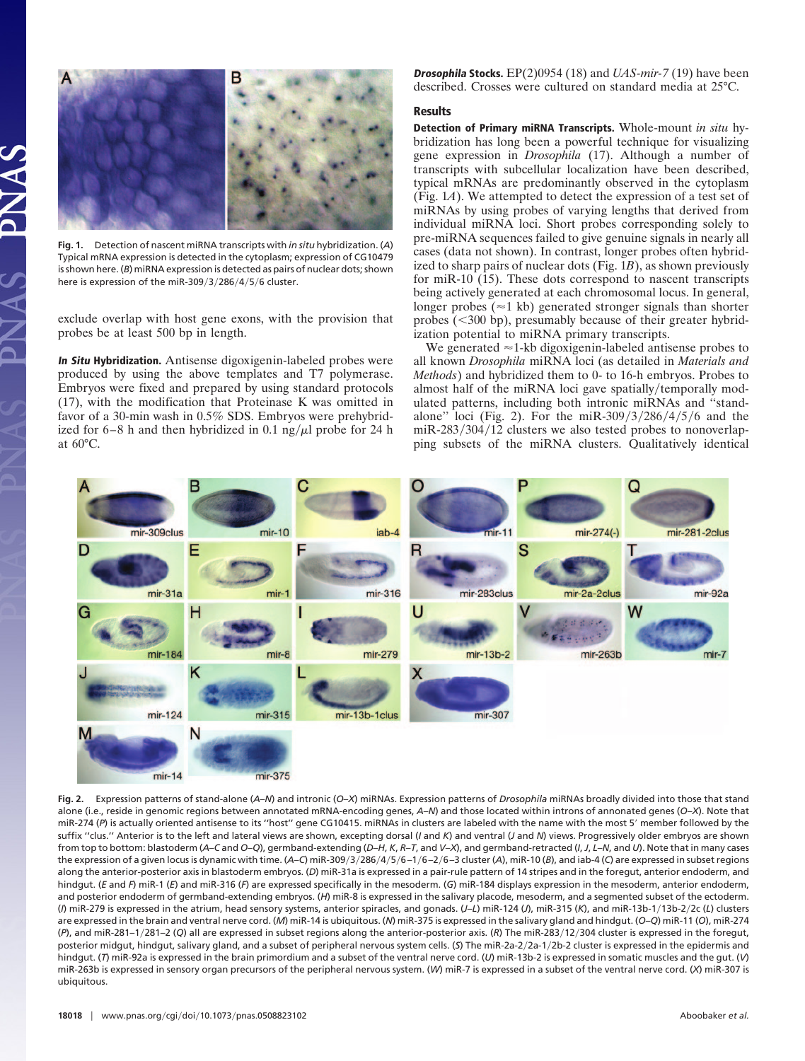

**Fig. 1.** Detection of nascent miRNA transcripts with *in situ* hybridization. (*A*) Typical mRNA expression is detected in the cytoplasm; expression of CG10479 is shown here. (*B*) miRNA expression is detected as pairs of nuclear dots; shown here is expression of the miR-309/3/286/4/5/6 cluster.

exclude overlap with host gene exons, with the provision that probes be at least 500 bp in length.

**In Situ Hybridization.** Antisense digoxigenin-labeled probes were produced by using the above templates and T7 polymerase. Embryos were fixed and prepared by using standard protocols (17), with the modification that Proteinase K was omitted in favor of a 30-min wash in 0.5% SDS. Embryos were prehybridized for  $6-8$  h and then hybridized in 0.1 ng/ $\mu$ l probe for 24 h at 60°C.

**Drosophila Stocks.** EP(2)0954 (18) and *UAS-mir-7* (19) have been described. Crosses were cultured on standard media at 25°C.

### **Results**

**Detection of Primary miRNA Transcripts.** Whole-mount *in situ* hybridization has long been a powerful technique for visualizing gene expression in *Drosophila* (17). Although a number of transcripts with subcellular localization have been described, typical mRNAs are predominantly observed in the cytoplasm (Fig. 1*A*). We attempted to detect the expression of a test set of miRNAs by using probes of varying lengths that derived from individual miRNA loci. Short probes corresponding solely to pre-miRNA sequences failed to give genuine signals in nearly all cases (data not shown). In contrast, longer probes often hybridized to sharp pairs of nuclear dots (Fig. 1*B*), as shown previously for miR-10 (15). These dots correspond to nascent transcripts being actively generated at each chromosomal locus. In general, longer probes ( $\approx$ 1 kb) generated stronger signals than shorter probes  $( $300$  bp), presumably because of their greater hybrid$ ization potential to miRNA primary transcripts.

We generated  $\approx$  1-kb digoxigenin-labeled antisense probes to all known *Drosophila* miRNA loci (as detailed in *Materials and Methods*) and hybridized them to 0- to 16-h embryos. Probes to almost half of the miRNA loci gave spatially/temporally modulated patterns, including both intronic miRNAs and ''standalone" loci (Fig. 2). For the miR-309/3/286/4/5/6 and the miR-283/304/12 clusters we also tested probes to nonoverlapping subsets of the miRNA clusters. Qualitatively identical



**Fig. 2.** Expression patterns of stand-alone (*A*–*N*) and intronic (*O*–*X*) miRNAs. Expression patterns of *Drosophila* miRNAs broadly divided into those that stand alone (i.e., reside in genomic regions between annotated mRNA-encoding genes, *A*–*N*) and those located within introns of annonated genes (*O*–*X*). Note that miR-274 (P) is actually oriented antisense to its "host" gene CG10415. miRNAs in clusters are labeled with the name with the most 5' member followed by the suffix ''clus.'' Anterior is to the left and lateral views are shown, excepting dorsal (*I* and *K*) and ventral (*J* and *N*) views. Progressively older embryos are shown from top to bottom: blastoderm (A-C and O-Q), germband-extending (D-H, K, R-T, and V-X), and germband-retracted (I, J, L-N, and U). Note that in many cases the expression of a given locus is dynamic with time. (A–C) miR-309/3/286/4/5/6–1/6–2/6–3 cluster (A), miR-10 (*B*), and iab-4 (C) are expressed in subset regions along the anterior-posterior axis in blastoderm embryos. (*D*) miR-31a is expressed in a pair-rule pattern of 14 stripes and in the foregut, anterior endoderm, and hindgut. (*E* and *F*) miR-1 (*E*) and miR-316 (*F*) are expressed specifically in the mesoderm. (*G*) miR-184 displays expression in the mesoderm, anterior endoderm, and posterior endoderm of germband-extending embryos. (*H*) miR-8 is expressed in the salivary placode, mesoderm, and a segmented subset of the ectoderm. (*I*) miR-279 is expressed in the atrium, head sensory systems, anterior spiracles, and gonads. (*J*–*L*) miR-124 (*J*), miR-315 (*K*), and miR-13b-1-13b-2-2c (*L*) clusters are expressed in the brain and ventral nerve cord. (*M*) miR-14 is ubiquitous. (*N*) miR-375 is expressed in the salivary gland and hindgut. (*O*–*Q*) miR-11 (*O*), miR-274 (*P*), and miR-281–1-281–2 (*Q*) all are expressed in subset regions along the anterior-posterior axis. (*R*) The miR-283-12-304 cluster is expressed in the foregut, posterior midgut, hindgut, salivary gland, and a subset of peripheral nervous system cells. (S) The miR-2a-2/2a-1/2b-2 cluster is expressed in the epidermis and hindgut. (*T*) miR-92a is expressed in the brain primordium and a subset of the ventral nerve cord. (*U*) miR-13b-2 is expressed in somatic muscles and the gut. (*V*) miR-263b is expressed in sensory organ precursors of the peripheral nervous system. (*W*) miR-7 is expressed in a subset of the ventral nerve cord. (*X*) miR-307 is ubiquitous.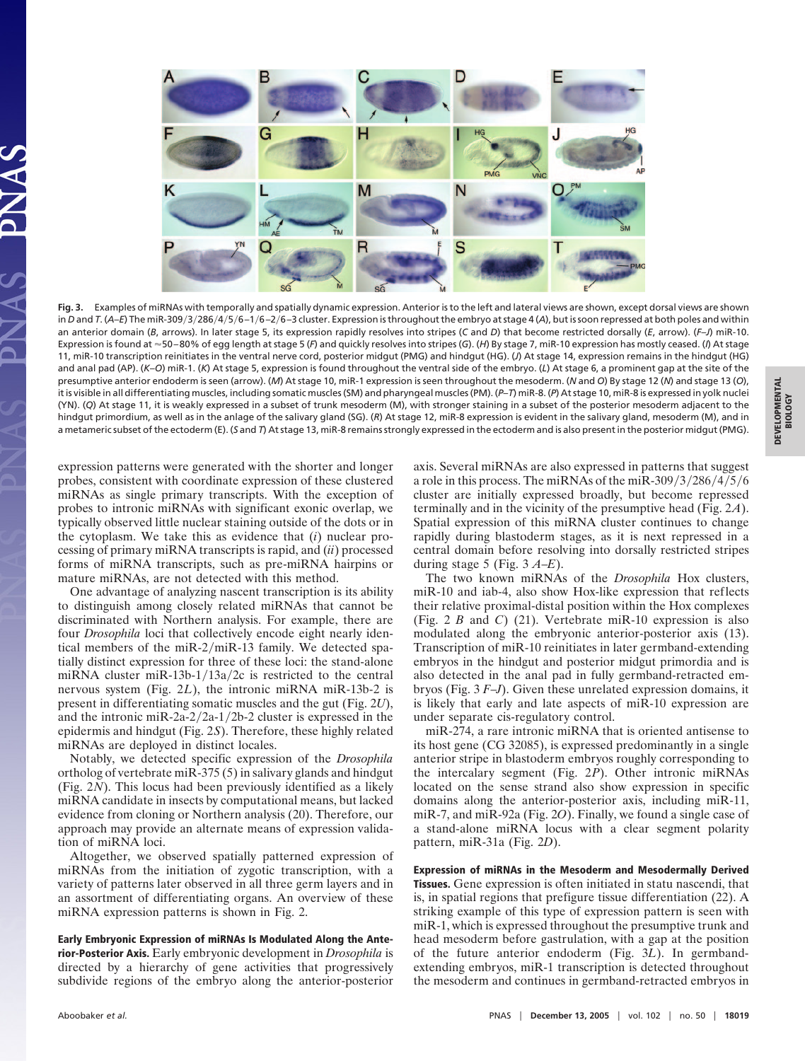

**Fig. 3.** Examples of miRNAs with temporally and spatially dynamic expression. Anterior is to the left and lateral views are shown, except dorsal views are shown in *D* and *T*. (A–E) The miR-309/3/286/4/5/6–1/6–2/6–3 cluster. Expression is throughout the embryo at stage 4 (A), but is soon repressed at both poles and within an anterior domain (*B*, arrows). In later stage 5, its expression rapidly resolves into stripes (*C* and *D*) that become restricted dorsally (*E*, arrow). (*F*–*J*) miR-10. Expression is found at 50 – 80% of egg length at stage 5 (*F*) and quickly resolves into stripes (*G*). (*H*) By stage 7, miR-10 expression has mostly ceased. (*I*) At stage 11, miR-10 transcription reinitiates in the ventral nerve cord, posterior midgut (PMG) and hindgut (HG). (*J*) At stage 14, expression remains in the hindgut (HG) and anal pad (AP). (*K*–*O*) miR-1. (*K*) At stage 5, expression is found throughout the ventral side of the embryo. (*L*) At stage 6, a prominent gap at the site of the presumptive anterior endoderm is seen (arrow). (*M*) At stage 10, miR-1 expression is seen throughout the mesoderm. (*N* and *O*) By stage 12 (*N*) and stage 13 (*O*), it is visible in all differentiating muscles, including somatic muscles (SM) and pharyngeal muscles (PM). (*P*–*T*) miR-8. (*P*) At stage 10, miR-8 is expressed in yolk nuclei (YN). (*Q*) At stage 11, it is weakly expressed in a subset of trunk mesoderm (M), with stronger staining in a subset of the posterior mesoderm adjacent to the hindgut primordium, as well as in the anlage of the salivary gland (SG). (*R*) At stage 12, miR-8 expression is evident in the salivary gland, mesoderm (M), and in a metameric subset of the ectoderm (E). (*S* and *T*) At stage 13, miR-8 remains strongly expressed in the ectoderm and is also present in the posterior midgut (PMG).

expression patterns were generated with the shorter and longer probes, consistent with coordinate expression of these clustered miRNAs as single primary transcripts. With the exception of probes to intronic miRNAs with significant exonic overlap, we typically observed little nuclear staining outside of the dots or in the cytoplasm. We take this as evidence that (*i*) nuclear processing of primary miRNA transcripts is rapid, and (*ii*) processed forms of miRNA transcripts, such as pre-miRNA hairpins or mature miRNAs, are not detected with this method.

One advantage of analyzing nascent transcription is its ability to distinguish among closely related miRNAs that cannot be discriminated with Northern analysis. For example, there are four *Drosophila* loci that collectively encode eight nearly identical members of the miR-2/miR-13 family. We detected spatially distinct expression for three of these loci: the stand-alone miRNA cluster miR-13b-1/13a/2c is restricted to the central nervous system (Fig. 2*L*), the intronic miRNA miR-13b-2 is present in differentiating somatic muscles and the gut (Fig. 2*U*), and the intronic miR-2a- $2/2a-1/2b-2$  cluster is expressed in the epidermis and hindgut (Fig. 2*S*). Therefore, these highly related miRNAs are deployed in distinct locales.

Notably, we detected specific expression of the *Drosophila* ortholog of vertebrate miR-375 (5) in salivary glands and hindgut (Fig. 2*N*). This locus had been previously identified as a likely miRNA candidate in insects by computational means, but lacked evidence from cloning or Northern analysis (20). Therefore, our approach may provide an alternate means of expression validation of miRNA loci.

Altogether, we observed spatially patterned expression of miRNAs from the initiation of zygotic transcription, with a variety of patterns later observed in all three germ layers and in an assortment of differentiating organs. An overview of these miRNA expression patterns is shown in Fig. 2.

**Early Embryonic Expression of miRNAs Is Modulated Along the Anterior-Posterior Axis.** Early embryonic development in *Drosophila* is directed by a hierarchy of gene activities that progressively subdivide regions of the embryo along the anterior-posterior axis. Several miRNAs are also expressed in patterns that suggest a role in this process. The miRNAs of the miR-309/3/286/4/5/6 cluster are initially expressed broadly, but become repressed terminally and in the vicinity of the presumptive head (Fig. 2*A*). Spatial expression of this miRNA cluster continues to change rapidly during blastoderm stages, as it is next repressed in a central domain before resolving into dorsally restricted stripes during stage 5 (Fig. 3 *A*–*E*).

The two known miRNAs of the *Drosophila* Hox clusters, miR-10 and iab-4, also show Hox-like expression that reflects their relative proximal-distal position within the Hox complexes (Fig. 2 *B* and *C*) (21). Vertebrate miR-10 expression is also modulated along the embryonic anterior-posterior axis (13). Transcription of miR-10 reinitiates in later germband-extending embryos in the hindgut and posterior midgut primordia and is also detected in the anal pad in fully germband-retracted embryos (Fig. 3 *F*–*J*). Given these unrelated expression domains, it is likely that early and late aspects of miR-10 expression are under separate cis-regulatory control.

miR-274, a rare intronic miRNA that is oriented antisense to its host gene (CG 32085), is expressed predominantly in a single anterior stripe in blastoderm embryos roughly corresponding to the intercalary segment (Fig. 2*P*). Other intronic miRNAs located on the sense strand also show expression in specific domains along the anterior-posterior axis, including miR-11, miR-7, and miR-92a (Fig. 2*O*). Finally, we found a single case of a stand-alone miRNA locus with a clear segment polarity pattern, miR-31a (Fig. 2*D*).

**Expression of miRNAs in the Mesoderm and Mesodermally Derived Tissues.** Gene expression is often initiated in statu nascendi, that is, in spatial regions that prefigure tissue differentiation (22). A striking example of this type of expression pattern is seen with miR-1, which is expressed throughout the presumptive trunk and head mesoderm before gastrulation, with a gap at the position of the future anterior endoderm (Fig. 3*L*). In germbandextending embryos, miR-1 transcription is detected throughout the mesoderm and continues in germband-retracted embryos in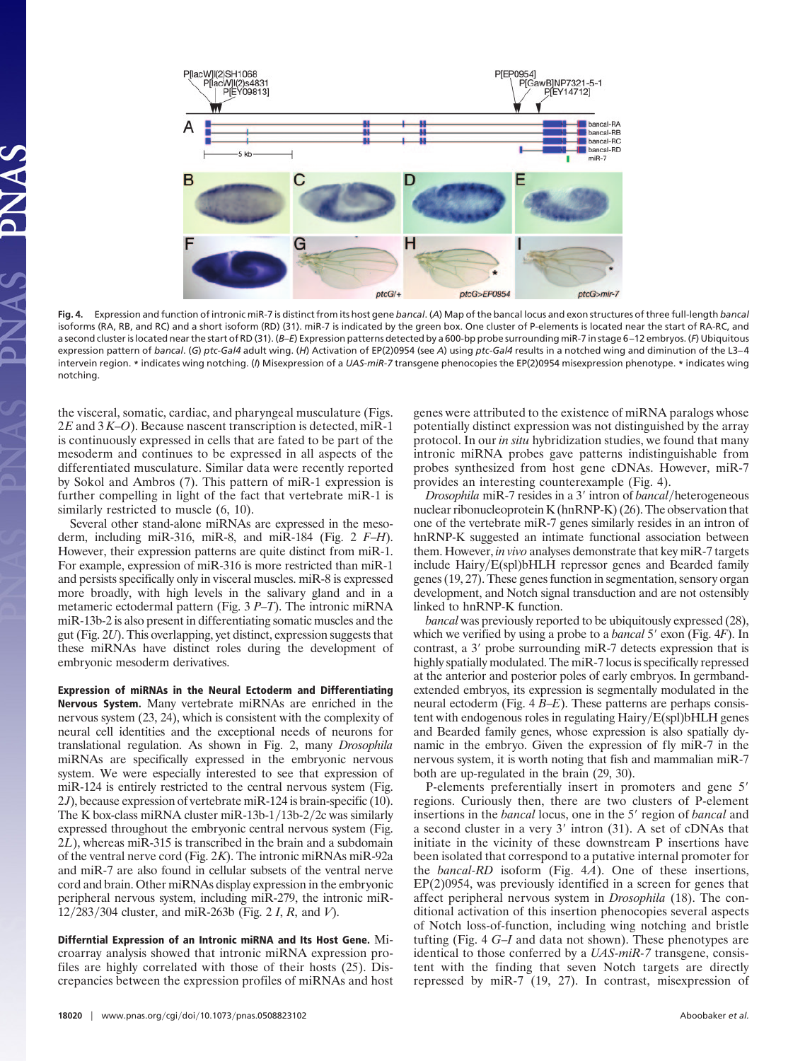

**Fig. 4.** Expression and function of intronic miR-7 is distinct from its host gene *bancal*. (*A*) Map of the bancal locus and exon structures of three full-length *bancal* isoforms (RA, RB, and RC) and a short isoform (RD) (31). miR-7 is indicated by the green box. One cluster of P-elements is located near the start of RA-RC, and a second cluster is located near the start of RD (31). (*B*–*E*) Expression patterns detected by a 600-bp probe surrounding miR-7 in stage 6 –12 embryos. (*F*) Ubiquitous expression pattern of *bancal*. (*G*) *ptc-Gal4* adult wing. (*H*) Activation of EP(2)0954 (see *A*) using *ptc-Gal4* results in a notched wing and diminution of the L3– 4 intervein region. **\*** indicates wing notching. (*I*) Misexpression of a *UAS-miR-7* transgene phenocopies the EP(2)0954 misexpression phenotype. **\*** indicates wing notching.

the visceral, somatic, cardiac, and pharyngeal musculature (Figs. 2*E* and 3 *K*–*O*). Because nascent transcription is detected, miR-1 is continuously expressed in cells that are fated to be part of the mesoderm and continues to be expressed in all aspects of the differentiated musculature. Similar data were recently reported by Sokol and Ambros (7). This pattern of miR-1 expression is further compelling in light of the fact that vertebrate miR-1 is similarly restricted to muscle  $(6, 10)$ .

Several other stand-alone miRNAs are expressed in the mesoderm, including miR-316, miR-8, and miR-184 (Fig. 2 *F*–*H*). However, their expression patterns are quite distinct from miR-1. For example, expression of miR-316 is more restricted than miR-1 and persists specifically only in visceral muscles. miR-8 is expressed more broadly, with high levels in the salivary gland and in a metameric ectodermal pattern (Fig. 3 *P*–*T*). The intronic miRNA miR-13b-2 is also present in differentiating somatic muscles and the gut (Fig. 2*U*). This overlapping, yet distinct, expression suggests that these miRNAs have distinct roles during the development of embryonic mesoderm derivatives.

**Expression of miRNAs in the Neural Ectoderm and Differentiating Nervous System.** Many vertebrate miRNAs are enriched in the nervous system (23, 24), which is consistent with the complexity of neural cell identities and the exceptional needs of neurons for translational regulation. As shown in Fig. 2, many *Drosophila* miRNAs are specifically expressed in the embryonic nervous system. We were especially interested to see that expression of miR-124 is entirely restricted to the central nervous system (Fig. 2*J*), because expression of vertebrate miR-124 is brain-specific (10). The K box-class miRNA cluster miR-13b-1/13b-2/2c was similarly expressed throughout the embryonic central nervous system (Fig. 2*L*), whereas miR-315 is transcribed in the brain and a subdomain of the ventral nerve cord (Fig. 2*K*). The intronic miRNAs miR-92a and miR-7 are also found in cellular subsets of the ventral nerve cord and brain. Other miRNAs display expression in the embryonic peripheral nervous system, including miR-279, the intronic miR-12-283-304 cluster, and miR-263b (Fig. 2 *I*, *R*, and *V*).

**Differntial Expression of an Intronic miRNA and Its Host Gene.** Microarray analysis showed that intronic miRNA expression profiles are highly correlated with those of their hosts (25). Discrepancies between the expression profiles of miRNAs and host genes were attributed to the existence of miRNA paralogs whose potentially distinct expression was not distinguished by the array protocol. In our *in situ* hybridization studies, we found that many intronic miRNA probes gave patterns indistinguishable from probes synthesized from host gene cDNAs. However, miR-7 provides an interesting counterexample (Fig. 4).

*Drosophila* miR-7 resides in a 3' intron of *bancal*/heterogeneous nuclear ribonucleoprotein K (hnRNP-K) (26). The observation that one of the vertebrate miR-7 genes similarly resides in an intron of hnRNP-K suggested an intimate functional association between them. However, *in vivo* analyses demonstrate that key miR-7 targets include Hairy/E(spl)bHLH repressor genes and Bearded family genes (19, 27). These genes function in segmentation, sensory organ development, and Notch signal transduction and are not ostensibly linked to hnRNP-K function.

*bancal* was previously reported to be ubiquitously expressed (28), which we verified by using a probe to a *bancal* 5' exon (Fig. 4*F*). In contrast, a 3' probe surrounding miR-7 detects expression that is highly spatially modulated. The miR-7 locus is specifically repressed at the anterior and posterior poles of early embryos. In germbandextended embryos, its expression is segmentally modulated in the neural ectoderm (Fig. 4 *B*–*E*). These patterns are perhaps consistent with endogenous roles in regulating Hairy/E(spl)bHLH genes and Bearded family genes, whose expression is also spatially dynamic in the embryo. Given the expression of fly miR-7 in the nervous system, it is worth noting that fish and mammalian miR-7 both are up-regulated in the brain (29, 30).

P-elements preferentially insert in promoters and gene 5' regions. Curiously then, there are two clusters of P-element insertions in the *bancal* locus, one in the 5' region of *bancal* and a second cluster in a very 3' intron (31). A set of cDNAs that initiate in the vicinity of these downstream P insertions have been isolated that correspond to a putative internal promoter for the *bancal-RD* isoform (Fig. 4*A*). One of these insertions, EP(2)0954, was previously identified in a screen for genes that affect peripheral nervous system in *Drosophila* (18). The conditional activation of this insertion phenocopies several aspects of Notch loss-of-function, including wing notching and bristle tufting (Fig. 4 *G*–*I* and data not shown). These phenotypes are identical to those conferred by a *UAS-miR-7* transgene, consistent with the finding that seven Notch targets are directly repressed by miR-7 (19, 27). In contrast, misexpression of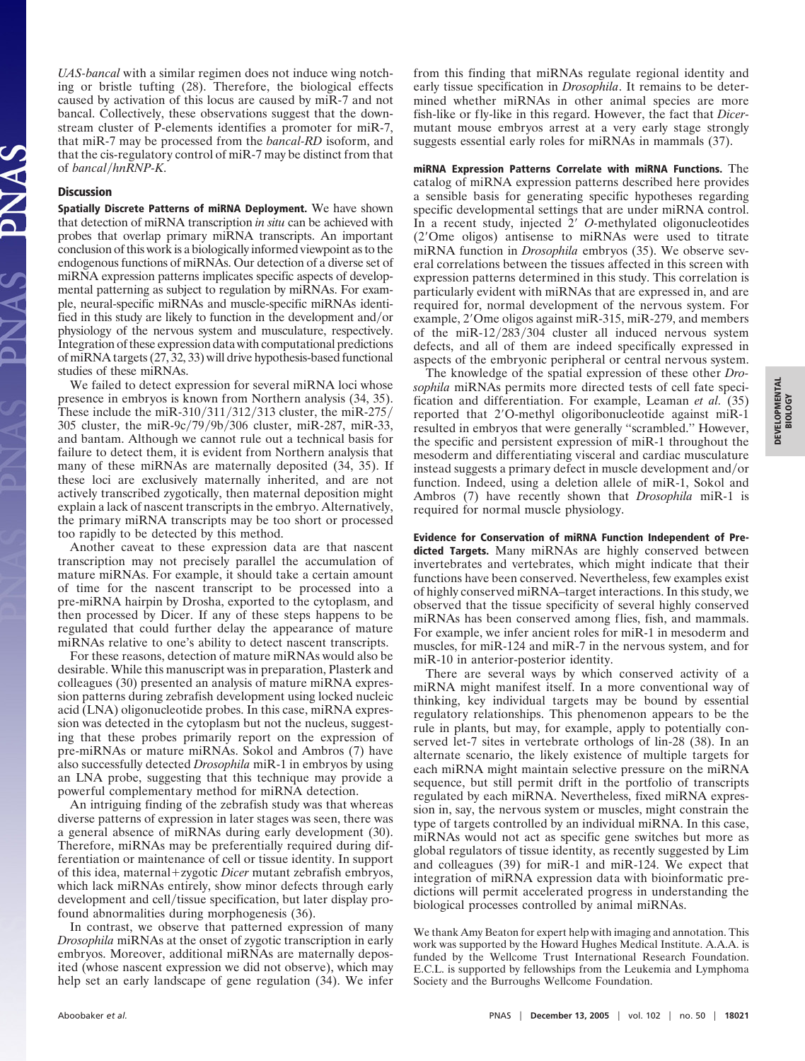*UAS-bancal* with a similar regimen does not induce wing notching or bristle tufting (28). Therefore, the biological effects caused by activation of this locus are caused by miR-7 and not bancal. Collectively, these observations suggest that the downstream cluster of P-elements identifies a promoter for miR-7, that miR-7 may be processed from the *bancal-RD* isoform, and that the cis-regulatory control of miR-7 may be distinct from that of *bancal*/hnRNP-K.

## **Discussion**

**Spatially Discrete Patterns of miRNA Deployment.** We have shown that detection of miRNA transcription *in situ* can be achieved with probes that overlap primary miRNA transcripts. An important conclusion of this work is a biologically informed viewpoint as to the endogenous functions of miRNAs. Our detection of a diverse set of miRNA expression patterns implicates specific aspects of developmental patterning as subject to regulation by miRNAs. For example, neural-specific miRNAs and muscle-specific miRNAs identified in this study are likely to function in the development and/or physiology of the nervous system and musculature, respectively. Integration of these expression data with computational predictions of miRNA targets (27, 32, 33) will drive hypothesis-based functional studies of these miRNAs.

We failed to detect expression for several miRNA loci whose presence in embryos is known from Northern analysis (34, 35). These include the miR-310/311/312/313 cluster, the miR-275/ 305 cluster, the miR-9c/79/9b/306 cluster, miR-287, miR-33, and bantam. Although we cannot rule out a technical basis for failure to detect them, it is evident from Northern analysis that many of these miRNAs are maternally deposited (34, 35). If these loci are exclusively maternally inherited, and are not actively transcribed zygotically, then maternal deposition might explain a lack of nascent transcripts in the embryo. Alternatively, the primary miRNA transcripts may be too short or processed too rapidly to be detected by this method.

Another caveat to these expression data are that nascent transcription may not precisely parallel the accumulation of mature miRNAs. For example, it should take a certain amount of time for the nascent transcript to be processed into a pre-miRNA hairpin by Drosha, exported to the cytoplasm, and then processed by Dicer. If any of these steps happens to be regulated that could further delay the appearance of mature miRNAs relative to one's ability to detect nascent transcripts.

For these reasons, detection of mature miRNAs would also be desirable. While this manuscript was in preparation, Plasterk and colleagues (30) presented an analysis of mature miRNA expression patterns during zebrafish development using locked nucleic acid (LNA) oligonucleotide probes. In this case, miRNA expression was detected in the cytoplasm but not the nucleus, suggesting that these probes primarily report on the expression of pre-miRNAs or mature miRNAs. Sokol and Ambros (7) have also successfully detected *Drosophila* miR-1 in embryos by using an LNA probe, suggesting that this technique may provide a powerful complementary method for miRNA detection.

An intriguing finding of the zebrafish study was that whereas diverse patterns of expression in later stages was seen, there was a general absence of miRNAs during early development (30). Therefore, miRNAs may be preferentially required during differentiation or maintenance of cell or tissue identity. In support of this idea, maternal+zygotic *Dicer* mutant zebrafish embryos, which lack miRNAs entirely, show minor defects through early development and cell/tissue specification, but later display profound abnormalities during morphogenesis (36).

In contrast, we observe that patterned expression of many *Drosophila* miRNAs at the onset of zygotic transcription in early embryos. Moreover, additional miRNAs are maternally deposited (whose nascent expression we did not observe), which may help set an early landscape of gene regulation (34). We infer from this finding that miRNAs regulate regional identity and early tissue specification in *Drosophila*. It remains to be determined whether miRNAs in other animal species are more fish-like or fly-like in this regard. However, the fact that *Dicer*mutant mouse embryos arrest at a very early stage strongly suggests essential early roles for miRNAs in mammals (37).

**miRNA Expression Patterns Correlate with miRNA Functions.** The catalog of miRNA expression patterns described here provides a sensible basis for generating specific hypotheses regarding specific developmental settings that are under miRNA control. In a recent study, injected 2' O-methylated oligonucleotides (2'Ome oligos) antisense to miRNAs were used to titrate miRNA function in *Drosophila* embryos (35). We observe several correlations between the tissues affected in this screen with expression patterns determined in this study. This correlation is particularly evident with miRNAs that are expressed in, and are required for, normal development of the nervous system. For example, 2'Ome oligos against miR-315, miR-279, and members of the miR-12/283/304 cluster all induced nervous system defects, and all of them are indeed specifically expressed in aspects of the embryonic peripheral or central nervous system.

The knowledge of the spatial expression of these other *Drosophila* miRNAs permits more directed tests of cell fate specification and differentiation. For example, Leaman *et al.* (35) reported that 2'O-methyl oligoribonucleotide against miR-1 resulted in embryos that were generally ''scrambled.'' However, the specific and persistent expression of miR-1 throughout the mesoderm and differentiating visceral and cardiac musculature instead suggests a primary defect in muscle development and/or function. Indeed, using a deletion allele of miR-1, Sokol and Ambros (7) have recently shown that *Drosophila* miR-1 is required for normal muscle physiology.

**Evidence for Conservation of miRNA Function Independent of Predicted Targets.** Many miRNAs are highly conserved between invertebrates and vertebrates, which might indicate that their functions have been conserved. Nevertheless, few examples exist of highly conserved miRNA–target interactions. In this study, we observed that the tissue specificity of several highly conserved miRNAs has been conserved among flies, fish, and mammals. For example, we infer ancient roles for miR-1 in mesoderm and muscles, for miR-124 and miR-7 in the nervous system, and for miR-10 in anterior-posterior identity.

There are several ways by which conserved activity of a miRNA might manifest itself. In a more conventional way of thinking, key individual targets may be bound by essential regulatory relationships. This phenomenon appears to be the rule in plants, but may, for example, apply to potentially conserved let-7 sites in vertebrate orthologs of lin-28 (38). In an alternate scenario, the likely existence of multiple targets for each miRNA might maintain selective pressure on the miRNA sequence, but still permit drift in the portfolio of transcripts regulated by each miRNA. Nevertheless, fixed miRNA expression in, say, the nervous system or muscles, might constrain the type of targets controlled by an individual miRNA. In this case, miRNAs would not act as specific gene switches but more as global regulators of tissue identity, as recently suggested by Lim and colleagues (39) for miR-1 and miR-124. We expect that integration of miRNA expression data with bioinformatic predictions will permit accelerated progress in understanding the biological processes controlled by animal miRNAs.

We thank Amy Beaton for expert help with imaging and annotation. This work was supported by the Howard Hughes Medical Institute. A.A.A. is funded by the Wellcome Trust International Research Foundation. E.C.L. is supported by fellowships from the Leukemia and Lymphoma Society and the Burroughs Wellcome Foundation.